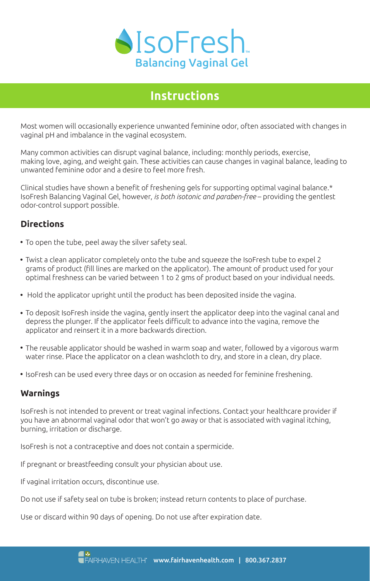

# **Instructions**

Most women will occasionally experience unwanted feminine odor, often associated with changes in vaginal pH and imbalance in the vaginal ecosystem.

Many common activities can disrupt vaginal balance, including: monthly periods, exercise, making love, aging, and weight gain. These activities can cause changes in vaginal balance, leading to unwanted feminine odor and a desire to feel more fresh.

Clinical studies have shown a benefit of freshening gels for supporting optimal vaginal balance.\* IsoFresh Balancing Vaginal Gel, however, *is both isotonic and paraben-free* – providing the gentlest odor-control support possible.

### **Directions**

- To open the tube, peel away the silver safety seal.
- Twist a clean applicator completely onto the tube and squeeze the IsoFresh tube to expel 2 grams of product (fill lines are marked on the applicator). The amount of product used for your optimal freshness can be varied between 1 to 2 gms of product based on your individual needs.
- Hold the applicator upright until the product has been deposited inside the vagina.
- To deposit IsoFresh inside the vagina, gently insert the applicator deep into the vaginal canal and depress the plunger. If the applicator feels difficult to advance into the vagina, remove the applicator and reinsert it in a more backwards direction.
- The reusable applicator should be washed in warm soap and water, followed by a vigorous warm water rinse. Place the applicator on a clean washcloth to dry, and store in a clean, dry place.
- IsoFresh can be used every three days or on occasion as needed for feminine freshening.

#### **Warnings**

IsoFresh is not intended to prevent or treat vaginal infections. Contact your healthcare provider if you have an abnormal vaginal odor that won't go away or that is associated with vaginal itching, burning, irritation or discharge.

IsoFresh is not a contraceptive and does not contain a spermicide.

If pregnant or breastfeeding consult your physician about use.

If vaginal irritation occurs, discontinue use.

Do not use if safety seal on tube is broken; instead return contents to place of purchase.

Use or discard within 90 days of opening. Do not use after expiration date.